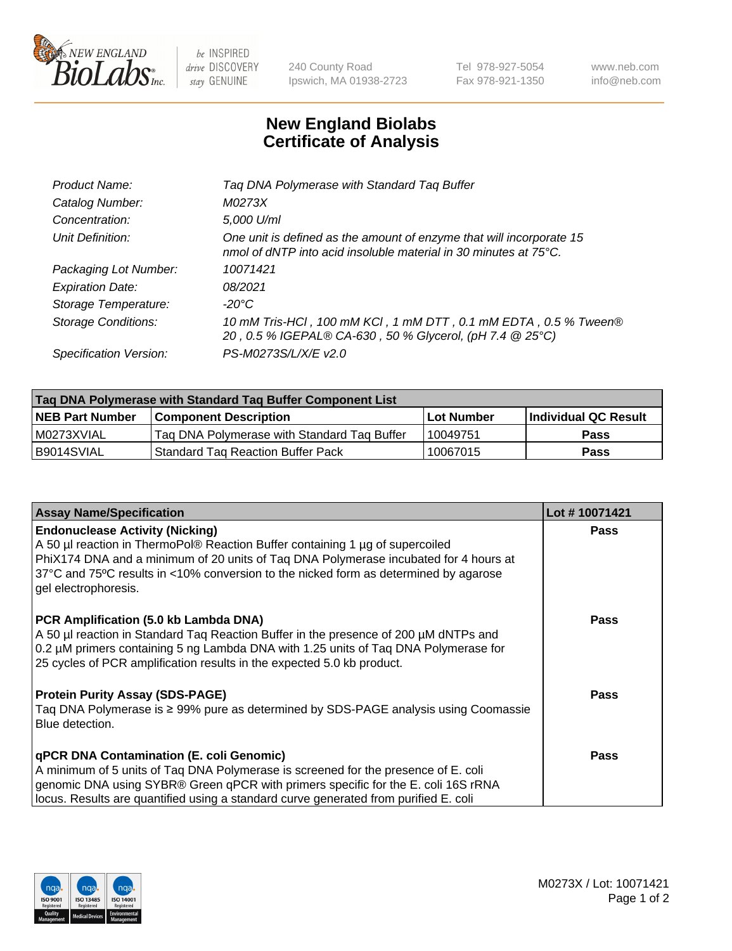

be INSPIRED drive DISCOVERY stay GENUINE

240 County Road Ipswich, MA 01938-2723 Tel 978-927-5054 Fax 978-921-1350 www.neb.com info@neb.com

## **New England Biolabs Certificate of Analysis**

| Tag DNA Polymerase with Standard Tag Buffer                                                                                                        |
|----------------------------------------------------------------------------------------------------------------------------------------------------|
| M0273X                                                                                                                                             |
| 5,000 U/ml                                                                                                                                         |
| One unit is defined as the amount of enzyme that will incorporate 15<br>nmol of dNTP into acid insoluble material in 30 minutes at $75^{\circ}$ C. |
| 10071421                                                                                                                                           |
| 08/2021                                                                                                                                            |
| $-20^{\circ}$ C                                                                                                                                    |
| 10 mM Tris-HCI, 100 mM KCI, 1 mM DTT, 0.1 mM EDTA, 0.5 % Tween®<br>20, 0.5 % IGEPAL® CA-630, 50 % Glycerol, (pH 7.4 @ 25°C)                        |
| PS-M0273S/L/X/E v2.0                                                                                                                               |
|                                                                                                                                                    |

| Tag DNA Polymerase with Standard Tag Buffer Component List |                                             |                   |                      |  |  |
|------------------------------------------------------------|---------------------------------------------|-------------------|----------------------|--|--|
| <b>NEB Part Number</b>                                     | Component Description_                      | <b>Lot Number</b> | Individual QC Result |  |  |
| M0273XVIAL                                                 | Tag DNA Polymerase with Standard Tag Buffer | 10049751          | <b>Pass</b>          |  |  |
| B9014SVIAL                                                 | Standard Tag Reaction Buffer Pack           | 10067015          | Pass                 |  |  |

| <b>Assay Name/Specification</b>                                                                                                                                                                                                                                                                                                 | Lot #10071421 |
|---------------------------------------------------------------------------------------------------------------------------------------------------------------------------------------------------------------------------------------------------------------------------------------------------------------------------------|---------------|
| <b>Endonuclease Activity (Nicking)</b><br>A 50 µl reaction in ThermoPol® Reaction Buffer containing 1 µg of supercoiled<br>PhiX174 DNA and a minimum of 20 units of Taq DNA Polymerase incubated for 4 hours at<br>37°C and 75°C results in <10% conversion to the nicked form as determined by agarose<br>gel electrophoresis. | <b>Pass</b>   |
| PCR Amplification (5.0 kb Lambda DNA)<br>A 50 µl reaction in Standard Taq Reaction Buffer in the presence of 200 µM dNTPs and<br>0.2 µM primers containing 5 ng Lambda DNA with 1.25 units of Tag DNA Polymerase for<br>25 cycles of PCR amplification results in the expected 5.0 kb product.                                  | <b>Pass</b>   |
| <b>Protein Purity Assay (SDS-PAGE)</b><br>Taq DNA Polymerase is ≥ 99% pure as determined by SDS-PAGE analysis using Coomassie<br>Blue detection.                                                                                                                                                                                | Pass          |
| qPCR DNA Contamination (E. coli Genomic)<br>A minimum of 5 units of Taq DNA Polymerase is screened for the presence of E. coli<br>genomic DNA using SYBR® Green qPCR with primers specific for the E. coli 16S rRNA<br>locus. Results are quantified using a standard curve generated from purified E. coli                     | <b>Pass</b>   |